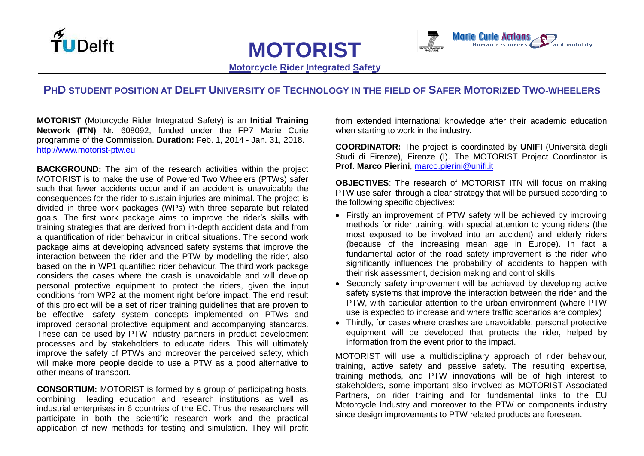



**Motorcycle Rider Integrated Safety**

**MOTORIST**

## PHD STUDENT POSITION AT DELFT UNIVERSITY OF TECHNOLOGY IN THE FIELD OF SAFER MOTORIZED TWO-WHEELERS

**MOTORIST** (Motorcycle Rider Integrated Safety) is an **Initial Training Network (ITN)** Nr. 608092, funded under the FP7 Marie Curie programme of the Commission. **Duration:** Feb. 1, 2014 - Jan. 31, 2018. [http://www.motorist-ptw.eu](http://www.motorist-ptw.eu/)

**BACKGROUND:** The aim of the research activities within the project MOTORIST is to make the use of Powered Two Wheelers (PTWs) safer such that fewer accidents occur and if an accident is unavoidable the consequences for the rider to sustain injuries are minimal. The project is divided in three work packages (WPs) with three separate but related goals. The first work package aims to improve the rider's skills with training strategies that are derived from in-depth accident data and from a quantification of rider behaviour in critical situations. The second work package aims at developing advanced safety systems that improve the interaction between the rider and the PTW by modelling the rider, also based on the in WP1 quantified rider behaviour. The third work package considers the cases where the crash is unavoidable and will develop personal protective equipment to protect the riders, given the input conditions from WP2 at the moment right before impact. The end result of this project will be a set of rider training guidelines that are proven to be effective, safety system concepts implemented on PTWs and improved personal protective equipment and accompanying standards. These can be used by PTW industry partners in product development processes and by stakeholders to educate riders. This will ultimately improve the safety of PTWs and moreover the perceived safety, which will make more people decide to use a PTW as a good alternative to other means of transport.

**CONSORTIUM:** MOTORIST is formed by a group of participating hosts, combining leading education and research institutions as well as industrial enterprises in 6 countries of the EC. Thus the researchers will participate in both the scientific research work and the practical application of new methods for testing and simulation. They will profit from extended international knowledge after their academic education when starting to work in the industry.

**COORDINATOR:** The project is coordinated by **UNIFI** (Università degli Studi di Firenze), Firenze (I). The MOTORIST Project Coordinator is **Prof. Marco Pierini**, [marco.pierini@unifi.it](mailto:marco.pierini@unifi.it)

**OBJECTIVES**: The research of MOTORIST ITN will focus on making PTW use safer, through a clear strategy that will be pursued according to the following specific objectives:

- Firstly an improvement of PTW safety will be achieved by improving methods for rider training, with special attention to young riders (the most exposed to be involved into an accident) and elderly riders (because of the increasing mean age in Europe). In fact a fundamental actor of the road safety improvement is the rider who significantly influences the probability of accidents to happen with their risk assessment, decision making and control skills.
- Secondly safety improvement will be achieved by developing active safety systems that improve the interaction between the rider and the PTW, with particular attention to the urban environment (where PTW use is expected to increase and where traffic scenarios are complex)
- Thirdly, for cases where crashes are unavoidable, personal protective equipment will be developed that protects the rider, helped by information from the event prior to the impact.

MOTORIST will use a multidisciplinary approach of rider behaviour, training, active safety and passive safety. The resulting expertise, training methods, and PTW innovations will be of high interest to stakeholders, some important also involved as MOTORIST Associated Partners, on rider training and for fundamental links to the EU Motorcycle Industry and moreover to the PTW or components industry since design improvements to PTW related products are foreseen.